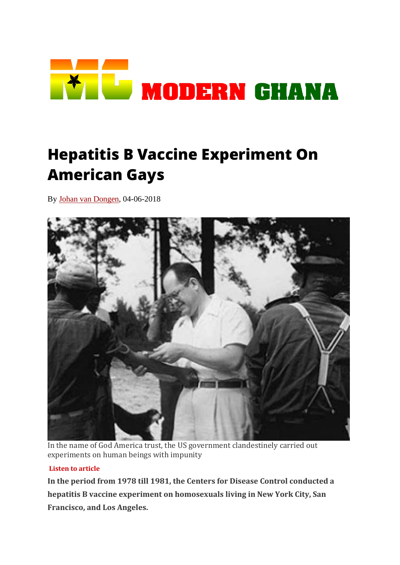

# **Hepatitis B Vaccine Experiment On American Gays**

By [Johan van Dongen,](https://www.modernghana.com/author/JohanvanDongen) 04-06-2018



In the name of God America trust, the US government clandestinely carried out experiments on human beings with impunity

#### **Listen to article**

**In the period from 1978 till 1981, the Centers for Disease Control conducted a hepatitis B vaccine experiment on homosexuals living in New York City, San Francisco, and Los Angeles.**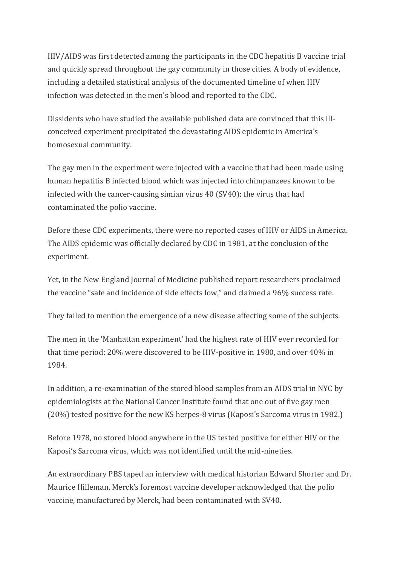HIV/AIDS was first detected among the participants in the CDC hepatitis B vaccine trial and quickly spread throughout the gay community in those cities. A body of evidence, including a detailed statistical analysis of the documented timeline of when HIV infection was detected in the men's blood and reported to the CDC.

Dissidents who have studied the available published data are convinced that this illconceived experiment precipitated the devastating AIDS epidemic in America's homosexual community.

The gay men in the experiment were injected with a vaccine that had been made using human hepatitis B infected blood which was injected into chimpanzees known to be infected with the cancer-causing simian virus 40 (SV40); the virus that had contaminated the polio vaccine.

Before these CDC experiments, there were no reported cases of HIV or AIDS in America. The AIDS epidemic was officially declared by CDC in 1981, at the conclusion of the experiment.

Yet, in the New England Journal of Medicine published report researchers proclaimed the vaccine "safe and incidence of side effects low," and claimed a 96% success rate.

They failed to mention the emergence of a new disease affecting some of the subjects.

The men in the 'Manhattan experiment' had the highest rate of HIV ever recorded for that time period: 20% were discovered to be HIV-positive in 1980, and over 40% in 1984.

In addition, a re-examination of the stored blood samples from an AIDS trial in NYC by epidemiologists at the National Cancer Institute found that one out of five gay men (20%) tested positive for the new KS herpes-8 virus (Kaposi's Sarcoma virus in 1982.)

Before 1978, no stored blood anywhere in the US tested positive for either HIV or the Kaposi's Sarcoma virus, which was not identified until the mid-nineties.

An extraordinary PBS taped an interview with medical historian Edward Shorter and Dr. Maurice Hilleman, Merck's foremost vaccine developer acknowledged that the polio vaccine, manufactured by Merck, had been contaminated with SV40.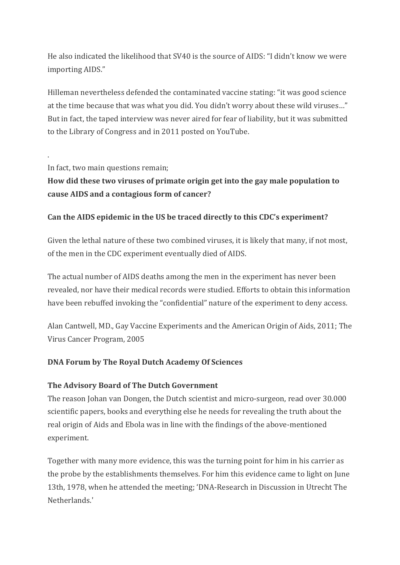He also indicated the likelihood that SV40 is the source of AIDS: "I didn't know we were importing AIDS."

Hilleman nevertheless defended the contaminated vaccine stating: "it was good science at the time because that was what you did. You didn't worry about these wild viruses…" But in fact, the taped interview was never aired for fear of liability, but it was submitted to the Library of Congress and in 2011 posted on YouTube.

In fact, two main questions remain;

.

# **How did these two viruses of primate origin get into the gay male population to cause AIDS and a contagious form of cancer?**

# **Can the AIDS epidemic in the US be traced directly to this CDC's experiment?**

Given the lethal nature of these two combined viruses, it is likely that many, if not most, of the men in the CDC experiment eventually died of AIDS.

The actual number of AIDS deaths among the men in the experiment has never been revealed, nor have their medical records were studied. Efforts to obtain this information have been rebuffed invoking the "confidential" nature of the experiment to deny access.

Alan Cantwell, MD., Gay Vaccine Experiments and the American Origin of Aids, 2011; The Virus Cancer Program, 2005

## **DNA Forum by The Royal Dutch Academy Of Sciences**

## **The Advisory Board of The Dutch Government**

The reason Johan van Dongen, the Dutch scientist and micro-surgeon, read over 30.000 scientific papers, books and everything else he needs for revealing the truth about the real origin of Aids and Ebola was in line with the findings of the above-mentioned experiment.

Together with many more evidence, this was the turning point for him in his carrier as the probe by the establishments themselves. For him this evidence came to light on June 13th, 1978, when he attended the meeting; 'DNA-Research in Discussion in Utrecht The Netherlands.'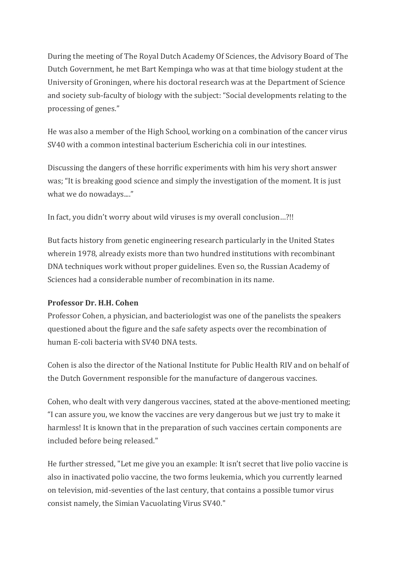During the meeting of The Royal Dutch Academy Of Sciences, the Advisory Board of The Dutch Government, he met Bart Kempinga who was at that time biology student at the University of Groningen, where his doctoral research was at the Department of Science and society sub-faculty of biology with the subject: "Social developments relating to the processing of genes."

He was also a member of the High School, working on a combination of the cancer virus SV40 with a common intestinal bacterium Escherichia coli in our intestines.

Discussing the dangers of these horrific experiments with him his very short answer was; "It is breaking good science and simply the investigation of the moment. It is just what we do nowadays...."

In fact, you didn't worry about wild viruses is my overall conclusion…?!!

But facts history from genetic engineering research particularly in the United States wherein 1978, already exists more than two hundred institutions with recombinant DNA techniques work without proper guidelines. Even so, the Russian Academy of Sciences had a considerable number of recombination in its name.

#### **Professor Dr. H.H. Cohen**

Professor Cohen, a physician, and bacteriologist was one of the panelists the speakers questioned about the figure and the safe safety aspects over the recombination of human E-coli bacteria with SV40 DNA tests.

Cohen is also the director of the National Institute for Public Health RIV and on behalf of the Dutch Government responsible for the manufacture of dangerous vaccines.

Cohen, who dealt with very dangerous vaccines, stated at the above-mentioned meeting; "I can assure you, we know the vaccines are very dangerous but we just try to make it harmless! It is known that in the preparation of such vaccines certain components are included before being released."

He further stressed, "Let me give you an example: It isn't secret that live polio vaccine is also in inactivated polio vaccine, the two forms leukemia, which you currently learned on television, mid-seventies of the last century, that contains a possible tumor virus consist namely, the Simian Vacuolating Virus SV40."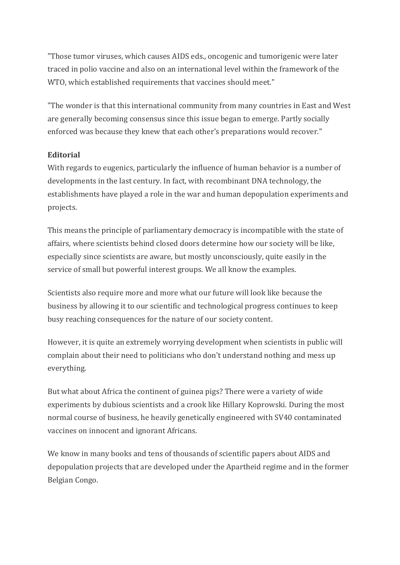"Those tumor viruses, which causes AIDS eds., oncogenic and tumorigenic were later traced in polio vaccine and also on an international level within the framework of the WTO, which established requirements that vaccines should meet."

"The wonder is that this international community from many countries in East and West are generally becoming consensus since this issue began to emerge. Partly socially enforced was because they knew that each other's preparations would recover."

#### **Editorial**

With regards to eugenics, particularly the influence of human behavior is a number of developments in the last century. In fact, with recombinant DNA technology, the establishments have played a role in the war and human depopulation experiments and projects.

This means the principle of parliamentary democracy is incompatible with the state of affairs, where scientists behind closed doors determine how our society will be like, especially since scientists are aware, but mostly unconsciously, quite easily in the service of small but powerful interest groups. We all know the examples.

Scientists also require more and more what our future will look like because the business by allowing it to our scientific and technological progress continues to keep busy reaching consequences for the nature of our society content.

However, it is quite an extremely worrying development when scientists in public will complain about their need to politicians who don't understand nothing and mess up everything.

But what about Africa the continent of guinea pigs? There were a variety of wide experiments by dubious scientists and a crook like Hillary Koprowski. During the most normal course of business, he heavily genetically engineered with SV40 contaminated vaccines on innocent and ignorant Africans.

We know in many books and tens of thousands of scientific papers about AIDS and depopulation projects that are developed under the Apartheid regime and in the former Belgian Congo.